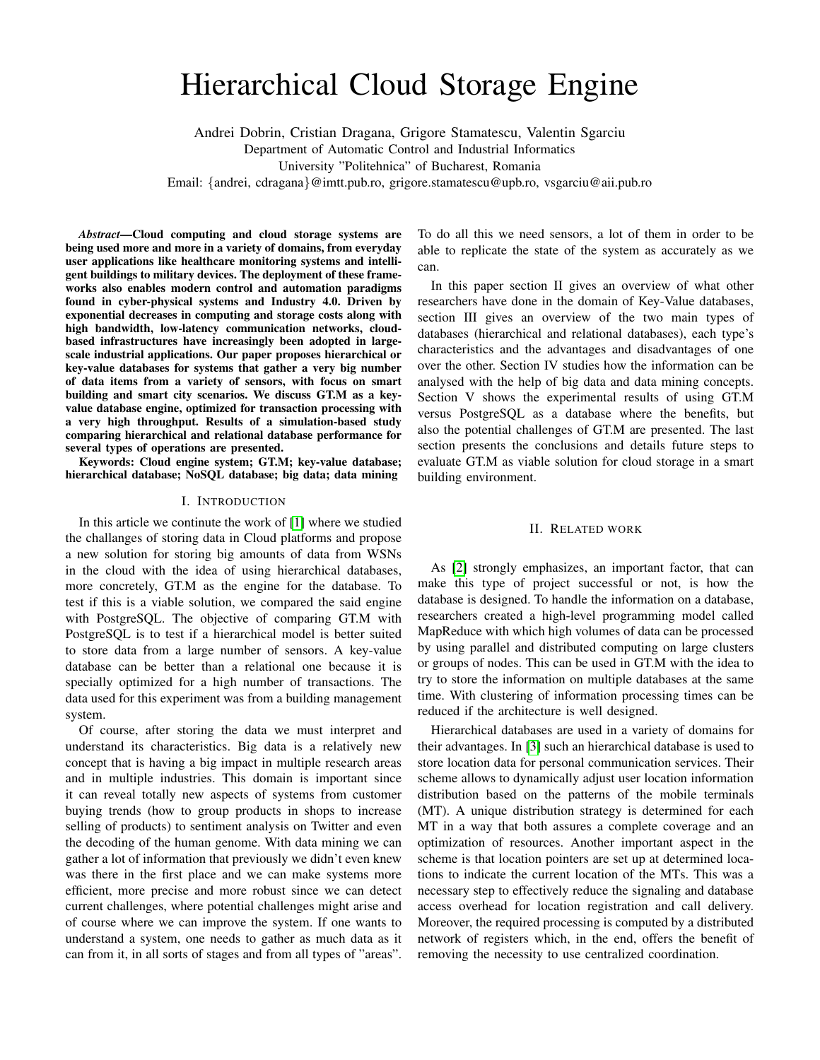# Hierarchical Cloud Storage Engine

Andrei Dobrin, Cristian Dragana, Grigore Stamatescu, Valentin Sgarciu Department of Automatic Control and Industrial Informatics

University "Politehnica" of Bucharest, Romania

Email: {andrei, cdragana}@imtt.pub.ro, grigore.stamatescu@upb.ro, vsgarciu@aii.pub.ro

*Abstract*—Cloud computing and cloud storage systems are being used more and more in a variety of domains, from everyday user applications like healthcare monitoring systems and intelligent buildings to military devices. The deployment of these frameworks also enables modern control and automation paradigms found in cyber-physical systems and Industry 4.0. Driven by exponential decreases in computing and storage costs along with high bandwidth, low-latency communication networks, cloudbased infrastructures have increasingly been adopted in largescale industrial applications. Our paper proposes hierarchical or key-value databases for systems that gather a very big number of data items from a variety of sensors, with focus on smart building and smart city scenarios. We discuss GT.M as a keyvalue database engine, optimized for transaction processing with a very high throughput. Results of a simulation-based study comparing hierarchical and relational database performance for several types of operations are presented.

Keywords: Cloud engine system; GT.M; key-value database; hierarchical database; NoSQL database; big data; data mining

# I. INTRODUCTION

In this article we continute the work of [\[1\]](#page-5-0) where we studied the challanges of storing data in Cloud platforms and propose a new solution for storing big amounts of data from WSNs in the cloud with the idea of using hierarchical databases, more concretely, GT.M as the engine for the database. To test if this is a viable solution, we compared the said engine with PostgreSQL. The objective of comparing GT.M with PostgreSQL is to test if a hierarchical model is better suited to store data from a large number of sensors. A key-value database can be better than a relational one because it is specially optimized for a high number of transactions. The data used for this experiment was from a building management system.

Of course, after storing the data we must interpret and understand its characteristics. Big data is a relatively new concept that is having a big impact in multiple research areas and in multiple industries. This domain is important since it can reveal totally new aspects of systems from customer buying trends (how to group products in shops to increase selling of products) to sentiment analysis on Twitter and even the decoding of the human genome. With data mining we can gather a lot of information that previously we didn't even knew was there in the first place and we can make systems more efficient, more precise and more robust since we can detect current challenges, where potential challenges might arise and of course where we can improve the system. If one wants to understand a system, one needs to gather as much data as it can from it, in all sorts of stages and from all types of "areas".

To do all this we need sensors, a lot of them in order to be able to replicate the state of the system as accurately as we can.

In this paper section II gives an overview of what other researchers have done in the domain of Key-Value databases, section III gives an overview of the two main types of databases (hierarchical and relational databases), each type's characteristics and the advantages and disadvantages of one over the other. Section IV studies how the information can be analysed with the help of big data and data mining concepts. Section V shows the experimental results of using GT.M versus PostgreSQL as a database where the benefits, but also the potential challenges of GT.M are presented. The last section presents the conclusions and details future steps to evaluate GT.M as viable solution for cloud storage in a smart building environment.

### II. RELATED WORK

As [\[2\]](#page-5-1) strongly emphasizes, an important factor, that can make this type of project successful or not, is how the database is designed. To handle the information on a database, researchers created a high-level programming model called MapReduce with which high volumes of data can be processed by using parallel and distributed computing on large clusters or groups of nodes. This can be used in GT.M with the idea to try to store the information on multiple databases at the same time. With clustering of information processing times can be reduced if the architecture is well designed.

Hierarchical databases are used in a variety of domains for their advantages. In [\[3\]](#page-5-2) such an hierarchical database is used to store location data for personal communication services. Their scheme allows to dynamically adjust user location information distribution based on the patterns of the mobile terminals (MT). A unique distribution strategy is determined for each MT in a way that both assures a complete coverage and an optimization of resources. Another important aspect in the scheme is that location pointers are set up at determined locations to indicate the current location of the MTs. This was a necessary step to effectively reduce the signaling and database access overhead for location registration and call delivery. Moreover, the required processing is computed by a distributed network of registers which, in the end, offers the benefit of removing the necessity to use centralized coordination.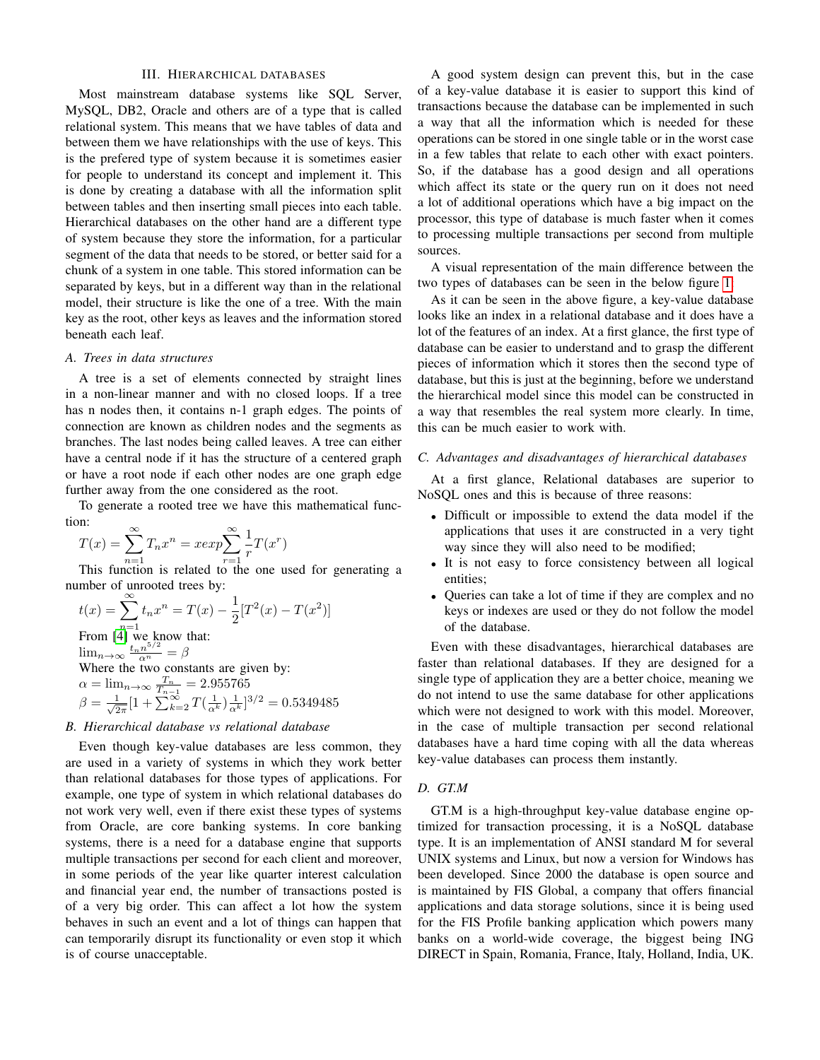# III. HIERARCHICAL DATABASES

Most mainstream database systems like SQL Server, MySQL, DB2, Oracle and others are of a type that is called relational system. This means that we have tables of data and between them we have relationships with the use of keys. This is the prefered type of system because it is sometimes easier for people to understand its concept and implement it. This is done by creating a database with all the information split between tables and then inserting small pieces into each table. Hierarchical databases on the other hand are a different type of system because they store the information, for a particular segment of the data that needs to be stored, or better said for a chunk of a system in one table. This stored information can be separated by keys, but in a different way than in the relational model, their structure is like the one of a tree. With the main key as the root, other keys as leaves and the information stored beneath each leaf.

## *A. Trees in data structures*

A tree is a set of elements connected by straight lines in a non-linear manner and with no closed loops. If a tree has n nodes then, it contains n-1 graph edges. The points of connection are known as children nodes and the segments as branches. The last nodes being called leaves. A tree can either have a central node if it has the structure of a centered graph or have a root node if each other nodes are one graph edge further away from the one considered as the root.

To generate a rooted tree we have this mathematical function:

$$
T(x) = \sum_{n=1}^{\infty} T_n x^n = x \exp \sum_{r=1}^{\infty} \frac{1}{r} T(x^r)
$$

This function is related to the one used for generating a number of unrooted trees by:

$$
t(x) = \sum_{n=1}^{\infty} t_n x^n = T(x) - \frac{1}{2} [T^2(x) - T(x^2)]
$$
  
From [4] we know that:  

$$
\lim_{n \to \infty} \frac{t_n n^{5/2}}{\alpha^n} = \beta
$$
Where the two constants are given by:  

$$
\alpha = \lim_{n \to \infty} \frac{T_n}{T_{n-1}} = 2.955765
$$

$$
\beta = \frac{1}{\sqrt{2\pi}} [1 + \sum_{k=2}^{\infty} T(\frac{1}{\alpha^k}) \frac{1}{\alpha^k}]^{3/2} = 0.5349485
$$

# *B. Hierarchical database vs relational database*

Even though key-value databases are less common, they are used in a variety of systems in which they work better than relational databases for those types of applications. For example, one type of system in which relational databases do not work very well, even if there exist these types of systems from Oracle, are core banking systems. In core banking systems, there is a need for a database engine that supports multiple transactions per second for each client and moreover, in some periods of the year like quarter interest calculation and financial year end, the number of transactions posted is of a very big order. This can affect a lot how the system behaves in such an event and a lot of things can happen that can temporarily disrupt its functionality or even stop it which is of course unacceptable.

A good system design can prevent this, but in the case of a key-value database it is easier to support this kind of transactions because the database can be implemented in such a way that all the information which is needed for these operations can be stored in one single table or in the worst case in a few tables that relate to each other with exact pointers. So, if the database has a good design and all operations which affect its state or the query run on it does not need a lot of additional operations which have a big impact on the processor, this type of database is much faster when it comes to processing multiple transactions per second from multiple sources.

A visual representation of the main difference between the two types of databases can be seen in the below figure [1:](#page-2-0)

As it can be seen in the above figure, a key-value database looks like an index in a relational database and it does have a lot of the features of an index. At a first glance, the first type of database can be easier to understand and to grasp the different pieces of information which it stores then the second type of database, but this is just at the beginning, before we understand the hierarchical model since this model can be constructed in a way that resembles the real system more clearly. In time, this can be much easier to work with.

## *C. Advantages and disadvantages of hierarchical databases*

At a first glance, Relational databases are superior to NoSQL ones and this is because of three reasons:

- Difficult or impossible to extend the data model if the applications that uses it are constructed in a very tight way since they will also need to be modified;
- It is not easy to force consistency between all logical entities;
- Queries can take a lot of time if they are complex and no keys or indexes are used or they do not follow the model of the database.

Even with these disadvantages, hierarchical databases are faster than relational databases. If they are designed for a single type of application they are a better choice, meaning we do not intend to use the same database for other applications which were not designed to work with this model. Moreover, in the case of multiple transaction per second relational databases have a hard time coping with all the data whereas key-value databases can process them instantly.

# *D. GT.M*

GT.M is a high-throughput key-value database engine optimized for transaction processing, it is a NoSQL database type. It is an implementation of ANSI standard M for several UNIX systems and Linux, but now a version for Windows has been developed. Since 2000 the database is open source and is maintained by FIS Global, a company that offers financial applications and data storage solutions, since it is being used for the FIS Profile banking application which powers many banks on a world-wide coverage, the biggest being ING DIRECT in Spain, Romania, France, Italy, Holland, India, UK.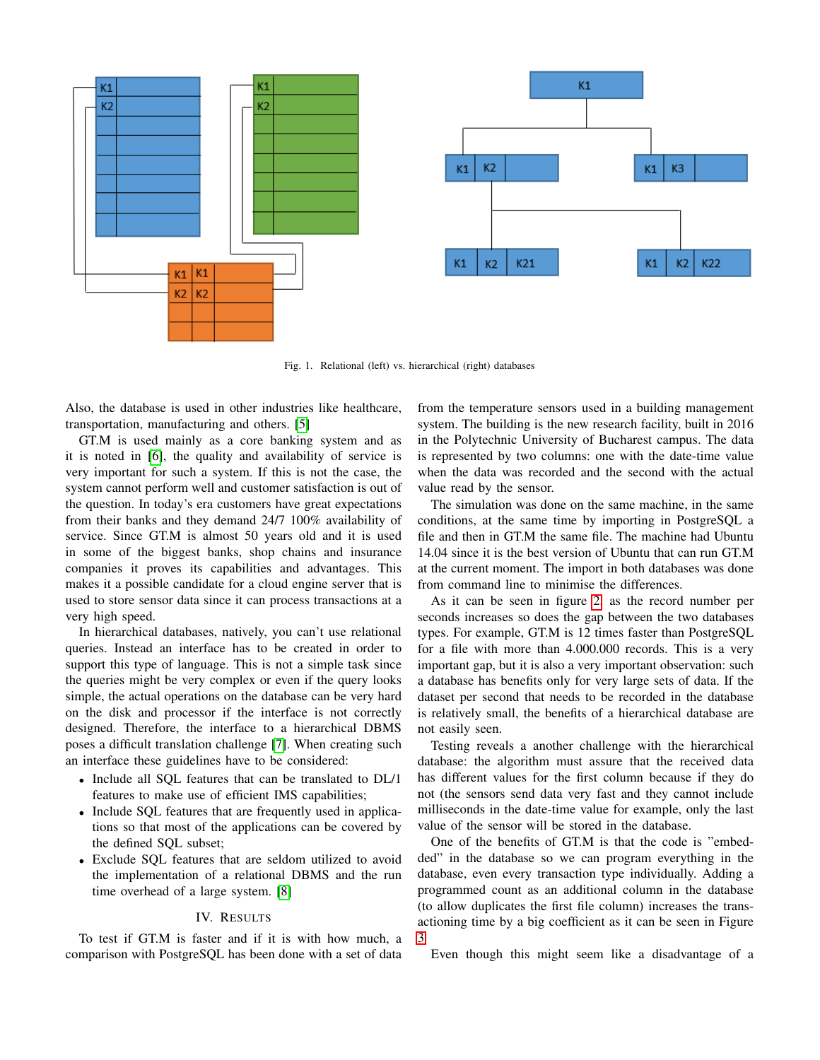

<span id="page-2-0"></span>Fig. 1. Relational (left) vs. hierarchical (right) databases

Also, the database is used in other industries like healthcare, transportation, manufacturing and others. [\[5\]](#page-5-4)

GT.M is used mainly as a core banking system and as it is noted in [\[6\]](#page-5-5), the quality and availability of service is very important for such a system. If this is not the case, the system cannot perform well and customer satisfaction is out of the question. In today's era customers have great expectations from their banks and they demand 24/7 100% availability of service. Since GT.M is almost 50 years old and it is used in some of the biggest banks, shop chains and insurance companies it proves its capabilities and advantages. This makes it a possible candidate for a cloud engine server that is used to store sensor data since it can process transactions at a very high speed.

In hierarchical databases, natively, you can't use relational queries. Instead an interface has to be created in order to support this type of language. This is not a simple task since the queries might be very complex or even if the query looks simple, the actual operations on the database can be very hard on the disk and processor if the interface is not correctly designed. Therefore, the interface to a hierarchical DBMS poses a difficult translation challenge [\[7\]](#page-5-6). When creating such an interface these guidelines have to be considered:

- Include all SQL features that can be translated to DL/1 features to make use of efficient IMS capabilities;
- Include SQL features that are frequently used in applications so that most of the applications can be covered by the defined SQL subset;
- Exclude SQL features that are seldom utilized to avoid the implementation of a relational DBMS and the run time overhead of a large system. [\[8\]](#page-5-7)

## IV. RESULTS

To test if GT.M is faster and if it is with how much, a comparison with PostgreSQL has been done with a set of data from the temperature sensors used in a building management system. The building is the new research facility, built in 2016 in the Polytechnic University of Bucharest campus. The data is represented by two columns: one with the date-time value when the data was recorded and the second with the actual value read by the sensor.

The simulation was done on the same machine, in the same conditions, at the same time by importing in PostgreSQL a file and then in GT.M the same file. The machine had Ubuntu 14.04 since it is the best version of Ubuntu that can run GT.M at the current moment. The import in both databases was done from command line to minimise the differences.

As it can be seen in figure [2,](#page-3-0) as the record number per seconds increases so does the gap between the two databases types. For example, GT.M is 12 times faster than PostgreSQL for a file with more than 4.000.000 records. This is a very important gap, but it is also a very important observation: such a database has benefits only for very large sets of data. If the dataset per second that needs to be recorded in the database is relatively small, the benefits of a hierarchical database are not easily seen.

Testing reveals a another challenge with the hierarchical database: the algorithm must assure that the received data has different values for the first column because if they do not (the sensors send data very fast and they cannot include milliseconds in the date-time value for example, only the last value of the sensor will be stored in the database.

One of the benefits of GT.M is that the code is "embedded" in the database so we can program everything in the database, even every transaction type individually. Adding a programmed count as an additional column in the database (to allow duplicates the first file column) increases the transactioning time by a big coefficient as it can be seen in Figure [3](#page-3-1)

Even though this might seem like a disadvantage of a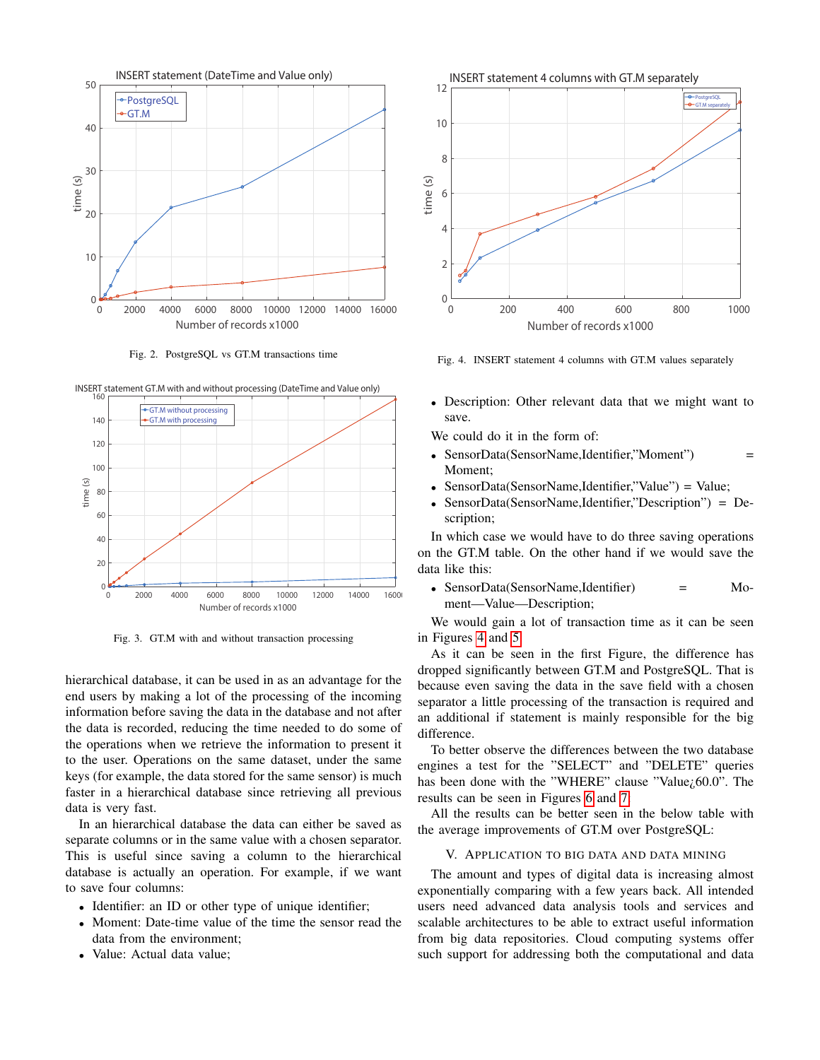

<span id="page-3-0"></span>Fig. 2. PostgreSQL vs GT.M transactions time





<span id="page-3-1"></span>Fig. 3. GT.M with and without transaction processing

hierarchical database, it can be used in as an advantage for the end users by making a lot of the processing of the incoming information before saving the data in the database and not after the data is recorded, reducing the time needed to do some of the operations when we retrieve the information to present it to the user. Operations on the same dataset, under the same keys (for example, the data stored for the same sensor) is much faster in a hierarchical database since retrieving all previous data is very fast.

In an hierarchical database the data can either be saved as separate columns or in the same value with a chosen separator. This is useful since saving a column to the hierarchical database is actually an operation. For example, if we want to save four columns:

- Identifier: an ID or other type of unique identifier;
- Moment: Date-time value of the time the sensor read the data from the environment;
- Value: Actual data value;



<span id="page-3-2"></span>Fig. 4. INSERT statement 4 columns with GT.M values separately

• Description: Other relevant data that we might want to save.

We could do it in the form of:

- SensorData(SensorName,Identifier,"Moment") = Moment;
- SensorData(SensorName,Identifier,"Value") = Value;
- SensorData(SensorName,Identifier,"Description") = Description;

In which case we would have to do three saving operations on the GT.M table. On the other hand if we would save the data like this:

• SensorData(SensorName,Identifier) = Moment—Value—Description;

We would gain a lot of transaction time as it can be seen in Figures [4](#page-3-2) and [5:](#page-4-0)

As it can be seen in the first Figure, the difference has dropped significantly between GT.M and PostgreSQL. That is because even saving the data in the save field with a chosen separator a little processing of the transaction is required and an additional if statement is mainly responsible for the big difference.

To better observe the differences between the two database engines a test for the "SELECT" and "DELETE" queries has been done with the "WHERE" clause "Value<sub>i</sub> 60.0". The results can be seen in Figures [6](#page-4-1) and [7:](#page-4-2)

All the results can be better seen in the below table with the average improvements of GT.M over PostgreSQL:

#### V. APPLICATION TO BIG DATA AND DATA MINING

The amount and types of digital data is increasing almost exponentially comparing with a few years back. All intended users need advanced data analysis tools and services and scalable architectures to be able to extract useful information from big data repositories. Cloud computing systems offer such support for addressing both the computational and data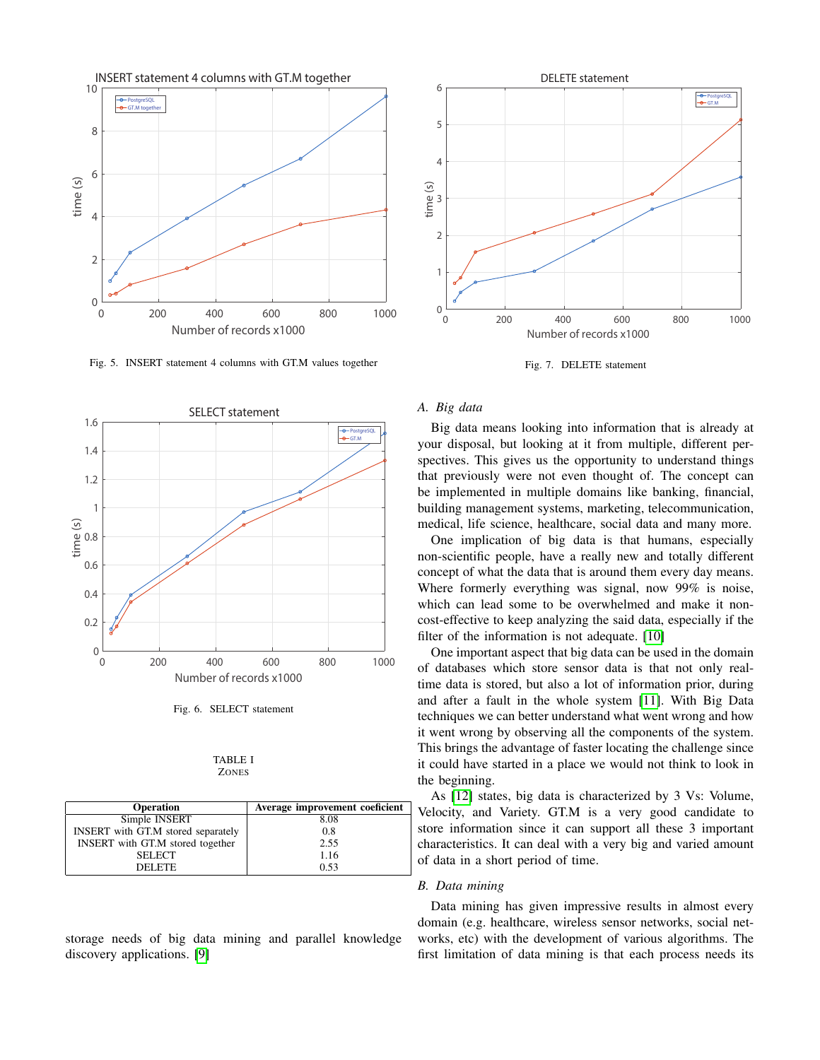

<span id="page-4-0"></span>Fig. 5. INSERT statement 4 columns with GT.M values together



<span id="page-4-1"></span>Fig. 6. SELECT statement

| TABLE:<br>ш |  |
|-------------|--|
| ZONES       |  |

| <b>Operation</b>                   | Average improvement coeficient |
|------------------------------------|--------------------------------|
| Simple INSERT                      | 8.08                           |
| INSERT with GT.M stored separately | 0.8                            |
| INSERT with GT.M stored together   | 2.55                           |
| <b>SELECT</b>                      | 1.16                           |
| DEI FTE                            | በ 53                           |

storage needs of big data mining and parallel knowledge discovery applications. [\[9\]](#page-5-8)



<span id="page-4-2"></span>Fig. 7. DELETE statement

# *A. Big data*

Big data means looking into information that is already at your disposal, but looking at it from multiple, different perspectives. This gives us the opportunity to understand things that previously were not even thought of. The concept can be implemented in multiple domains like banking, financial, building management systems, marketing, telecommunication, medical, life science, healthcare, social data and many more.

One implication of big data is that humans, especially non-scientific people, have a really new and totally different concept of what the data that is around them every day means. Where formerly everything was signal, now 99% is noise, which can lead some to be overwhelmed and make it noncost-effective to keep analyzing the said data, especially if the filter of the information is not adequate. [\[10\]](#page-5-9)

One important aspect that big data can be used in the domain of databases which store sensor data is that not only realtime data is stored, but also a lot of information prior, during and after a fault in the whole system [\[11\]](#page-5-10). With Big Data techniques we can better understand what went wrong and how it went wrong by observing all the components of the system. This brings the advantage of faster locating the challenge since it could have started in a place we would not think to look in the beginning.

As [\[12\]](#page-5-11) states, big data is characterized by 3 Vs: Volume, Velocity, and Variety. GT.M is a very good candidate to store information since it can support all these 3 important characteristics. It can deal with a very big and varied amount of data in a short period of time.

# *B. Data mining*

Data mining has given impressive results in almost every domain (e.g. healthcare, wireless sensor networks, social networks, etc) with the development of various algorithms. The first limitation of data mining is that each process needs its